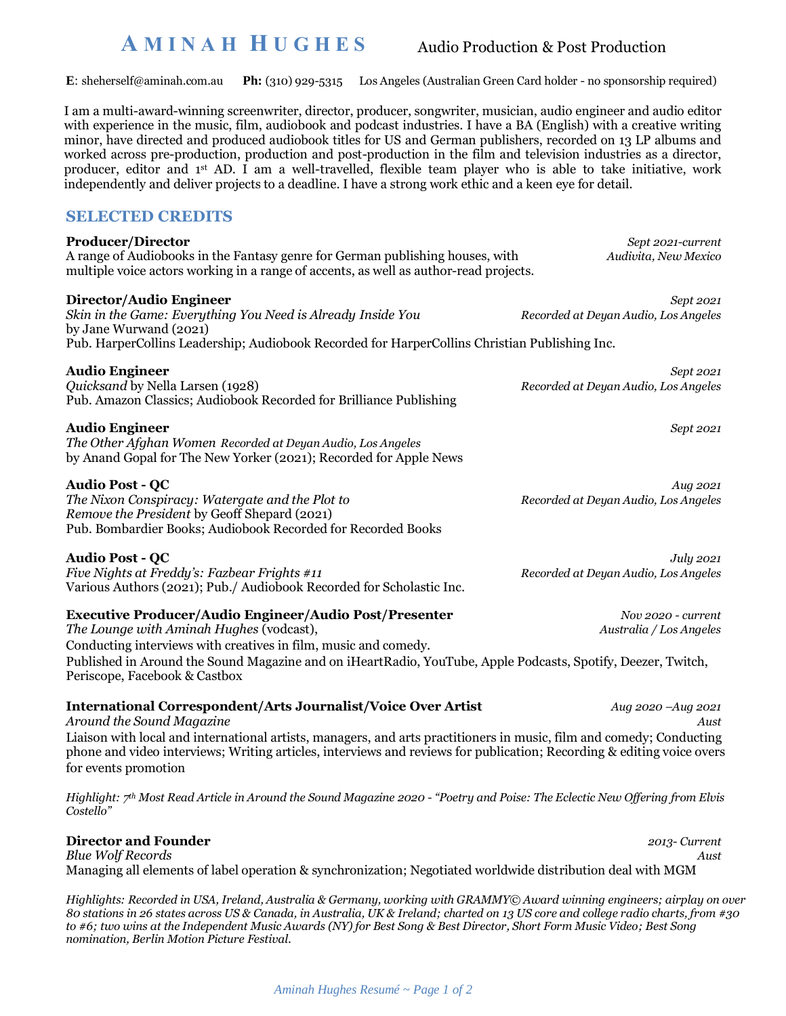# **A M I N A H H U G H E S**

Audio Production & Post Production

**E**: [sheherself@aminah.com.au](mailto:sheherself@aminah.com.au) **Ph:** (310) 929-5315 Los Angeles (Australian Green Card holder - no sponsorship required)

I am a multi-award-winning screenwriter, director, producer, songwriter, musician, audio engineer and audio editor with experience in the music, film, audiobook and podcast industries. I have a BA (English) with a creative writing minor, have directed and produced audiobook titles for US and German publishers, recorded on 13 LP albums and worked across pre-production, production and post-production in the film and television industries as a director, producer, editor and 1st AD. I am a well-travelled, flexible team player who is able to take initiative, work independently and deliver projects to a deadline. I have a strong work ethic and a keen eye for detail.

# **SELECTED CREDITS**

# **Producer/Director** *Sept 2021-current*

A range of Audiobooks in the Fantasy genre for German publishing houses, with *Audivita, New Mexico* multiple voice actors working in a range of accents, as well as author-read projects.

*Skin in the Game: Everything You Need is Already Inside You Recorded at Deyan Audio, Los Angeles* by Jane Wurwand (2021) Pub. HarperCollins Leadership; Audiobook Recorded for HarperCollins Christian Publishing Inc.

*Quicksand* by Nella Larsen (1928) *Recorded at Deyan Audio, Los Angeles* Pub. Amazon Classics; Audiobook Recorded for Brilliance Publishing

### **Audio Engineer** *Sept 2021*

*The Other Afghan Women Recorded at Deyan Audio, Los Angeles* by Anand Gopal for The New Yorker (2021); Recorded for Apple News

*The Nixon Conspiracy: Watergate and the Plot to Recorded at Deyan Audio, Los Angeles Remove the President* by Geoff Shepard (2021) Pub. Bombardier Books; Audiobook Recorded for Recorded Books

*Five Nights at Freddy's: Fazbear Frights #11 Recorded at Deyan Audio, Los Angeles* Various Authors (2021); Pub./ Audiobook Recorded for Scholastic Inc.

# **Executive Producer/Audio Engineer/Audio Post/Presenter** *Nov 2020 - current*

*The Lounge with Aminah Hughes* (vodcast), *Australia / Los Angeles* Conducting interviews with creatives in film, music and comedy. Published in Around the Sound Magazine and on iHeartRadio, YouTube, Apple Podcasts, Spotify, Deezer, Twitch, Periscope, Facebook & Castbox

### **International Correspondent/Arts Journalist/Voice Over Artist** *Aug 2020 –Aug 2021*

*Around the Sound Magazine Aust* Liaison with local and international artists, managers, and arts practitioners in music, film and comedy; Conducting phone and video interviews; Writing articles, interviews and reviews for publication; Recording & editing voice overs for events promotion

*Highlight: 7 th Most Read Article in Around the Sound Magazine 2020 - "Poetry and Poise: The Eclectic New Offering from Elvis Costello"*

### **Director and Founder** *2013- Current Blue Wolf Records Aust* Managing all elements of label operation & synchronization; Negotiated worldwide distribution deal with MGM

*Highlights: Recorded in USA, Ireland, Australia & Germany, working with GRAMMY© Award winning engineers; airplay on over 80 stations in 26 states across US & Canada, in Australia, UK & Ireland; charted on 13 US core and college radio charts, from #30 to #6; two wins at the Independent Music Awards (NY) for Best Song & Best Director, Short Form Music Video; Best Song nomination, Berlin Motion Picture Festival.*

**Director/Audio Engineer** *Sept 2021*

**Audio Engineer** *Sept 2021*

**Audio Post - QC** *Aug 2021*

**Audio Post - QC** *July 2021*

*Aminah Hughes Resumé ~ Page 1 of 2*